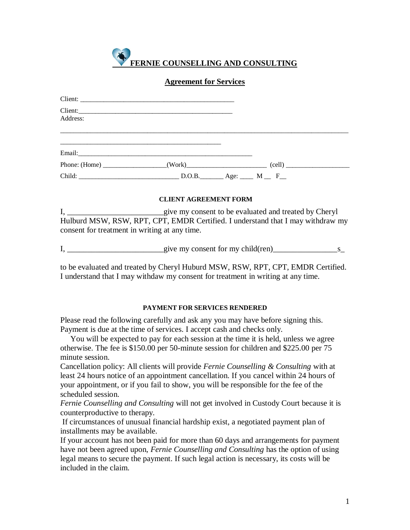

# **Agreement for Services**

| Client:       |  |                   |
|---------------|--|-------------------|
| Address:      |  |                   |
|               |  |                   |
| Email: Email: |  |                   |
| Phone: (Home) |  | $(Cell)$ $(Cell)$ |
|               |  |                   |

## **CLIENT AGREEMENT FORM**

I, give my consent to be evaluated and treated by Cheryl Hulburd MSW, RSW, RPT, CPT, EMDR Certified. I understand that I may withdraw my consent for treatment in writing at any time.

I,  $\frac{\text{give my consent for my child}(ren)}{\text{.}}$ 

to be evaluated and treated by Cheryl Huburd MSW, RSW, RPT, CPT, EMDR Certified. I understand that I may withdaw my consent for treatment in writing at any time.

## **PAYMENT FOR SERVICES RENDERED**

Please read the following carefully and ask any you may have before signing this. Payment is due at the time of services. I accept cash and checks only.

 You will be expected to pay for each session at the time it is held, unless we agree otherwise. The fee is \$150.00 per 50-minute session for children and \$225.00 per 75 minute session.

Cancellation policy: All clients will provide *Fernie Counselling & Consulting* with at least 24 hours notice of an appointment cancellation. If you cancel within 24 hours of your appointment, or if you fail to show, you will be responsible for the fee of the scheduled session.

*Fernie Counselling and Consulting* will not get involved in Custody Court because it is counterproductive to therapy.

If circumstances of unusual financial hardship exist, a negotiated payment plan of installments may be available.

If your account has not been paid for more than 60 days and arrangements for payment have not been agreed upon, *Fernie Counselling and Consulting* has the option of using legal means to secure the payment. If such legal action is necessary, its costs will be included in the claim.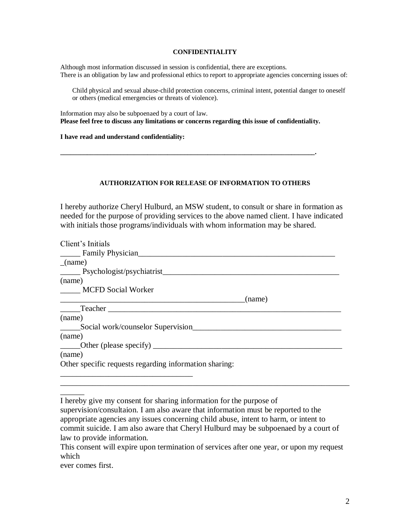### **CONFIDENTIALITY**

Although most information discussed in session is confidential, there are exceptions. There is an obligation by law and professional ethics to report to appropriate agencies concerning issues of:

Child physical and sexual abuse-child protection concerns, criminal intent, potential danger to oneself or others (medical emergencies or threats of violence).

Information may also be subpoenaed by a court of law. **Please feel free to discuss any limitations or concerns regarding this issue of confidentiality.** 

**\_\_\_\_\_\_\_\_\_\_\_\_\_\_\_\_\_\_\_\_\_\_\_\_\_\_\_\_\_\_\_\_\_\_\_\_\_\_\_\_\_\_\_\_\_\_\_\_\_\_\_\_\_\_\_\_\_\_\_\_\_\_\_\_\_\_\_\_\_\_\_\_\_\_\_\_.**

**I have read and understand confidentiality:**

#### **AUTHORIZATION FOR RELEASE OF INFORMATION TO OTHERS**

I hereby authorize Cheryl Hulburd, an MSW student, to consult or share in formation as needed for the purpose of providing services to the above named client. I have indicated with initials those programs/individuals with whom information may be shared.

I hereby give my consent for sharing information for the purpose of

\_\_\_\_\_\_\_\_\_\_\_\_\_\_\_\_\_\_\_\_\_\_\_\_\_\_\_\_\_\_\_\_\_\_\_\_\_\_\_\_\_\_\_\_\_\_\_\_\_\_\_\_\_\_\_\_\_\_\_\_\_\_\_\_\_\_\_\_\_\_\_\_

ever comes first.

\_\_\_\_\_\_

supervision/consultaion. I am also aware that information must be reported to the appropriate agencies any issues concerning child abuse, intent to harm, or intent to commit suicide. I am also aware that Cheryl Hulburd may be subpoenaed by a court of law to provide information.

This consent will expire upon termination of services after one year, or upon my request which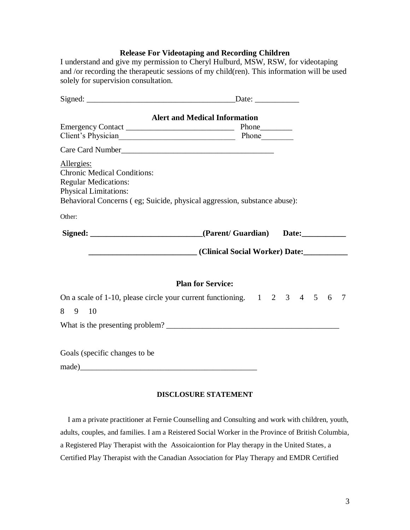# **Release For Videotaping and Recording Children**

I understand and give my permission to Cheryl Hulburd, MSW, RSW, for videotaping and /or recording the therapeutic sessions of my child(ren). This information will be used solely for supervision consultation.

|                                                                                                                 | <b>Alert and Medical Information</b> |  |  |  |  |  |  |  |  |  |  |
|-----------------------------------------------------------------------------------------------------------------|--------------------------------------|--|--|--|--|--|--|--|--|--|--|
|                                                                                                                 |                                      |  |  |  |  |  |  |  |  |  |  |
| Client's Physician Phone                                                                                        |                                      |  |  |  |  |  |  |  |  |  |  |
|                                                                                                                 |                                      |  |  |  |  |  |  |  |  |  |  |
| Allergies:<br><b>Chronic Medical Conditions:</b><br><b>Regular Medications:</b><br><b>Physical Limitations:</b> |                                      |  |  |  |  |  |  |  |  |  |  |
| Behavioral Concerns (eg; Suicide, physical aggression, substance abuse):                                        |                                      |  |  |  |  |  |  |  |  |  |  |
| Other:                                                                                                          |                                      |  |  |  |  |  |  |  |  |  |  |
| Signed: ________________________________(Parent/ Guardian) Date: _______________                                |                                      |  |  |  |  |  |  |  |  |  |  |
|                                                                                                                 |                                      |  |  |  |  |  |  |  |  |  |  |
|                                                                                                                 | <b>Plan for Service:</b>             |  |  |  |  |  |  |  |  |  |  |
| On a scale of 1-10, please circle your current functioning. $1 \quad 2 \quad 3 \quad 4 \quad 5 \quad 6 \quad 7$ |                                      |  |  |  |  |  |  |  |  |  |  |
| 8 9 10                                                                                                          |                                      |  |  |  |  |  |  |  |  |  |  |
|                                                                                                                 |                                      |  |  |  |  |  |  |  |  |  |  |
|                                                                                                                 |                                      |  |  |  |  |  |  |  |  |  |  |
| Goals (specific changes to be                                                                                   |                                      |  |  |  |  |  |  |  |  |  |  |
|                                                                                                                 |                                      |  |  |  |  |  |  |  |  |  |  |
|                                                                                                                 |                                      |  |  |  |  |  |  |  |  |  |  |

### **DISCLOSURE STATEMENT**

 I am a private practitioner at Fernie Counselling and Consulting and work with children, youth, adults, couples, and families. I am a Reistered Social Worker in the Province of British Columbia, a Registered Play Therapist with the Assoicaiontion for Play therapy in the United States, a Certified Play Therapist with the Canadian Association for Play Therapy and EMDR Certified